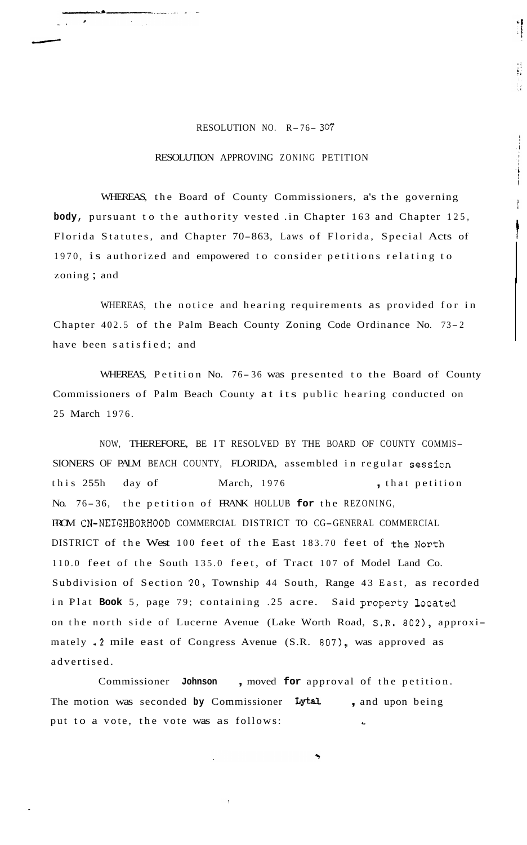## RESOLUTION NO. R- 76- *<sup>307</sup>*

 $\ddot{i}$ 

 $\frac{1}{2}$ 

## RESOLUTION APPROVING ZONING PETITION

WHEREAS, the Board of County Commissioners, a's the governing **body,** pursuant to the authority vested .in Chapter 163 and Chapter 125, Florida Statutes, and Chapter 70-863, Laws of Florida, Special Acts of 1970, is authorized and empowered to consider petitions relating to zoning ; and

WHEREAS, the notice and hearing requirements as provided for in Chapter 402.5 of the Palm Beach County Zoning Code Ordinance No. 73- <sup>2</sup> have been satisfied; and

WHEREAS, Petition No. 76-36 was presented to the Board of County Commissioners of Palm Beach County at its public hearing conducted on 25 March 1976.

NOW, THEREFORE, BE IT RESOLVED BY THE BOARD OF COUNTY COMMIS-SIONERS OF PALM BEACH COUNTY, FLORIDA, assembled in regular session this 255h day of March, 1976 , that petition No. 76- 36, the petition of FRANK HOLLUB **for** the REZONING, FROM CN-NEIGHBORHOOD COMMERCIAL DISTRICT TO CG-GENERAL COMMERCIAL DISTRICT of the West 100 feet of the East 183.70 feet of the North 110.0 feet of the South 135.0 feet, of Tract 107 of Model Land Co. Subdivision of Section 20., Township 44 South, Range 43 East, as recorded in Plat **Book** 5, page 79; containing .25 acre. Said property located on the north side of Lucerne Avenue (Lake Worth Road, S.R. **802),** approximately . 2 mile east of Congress Avenue (S.R. 807), was approved as advertised.

Commissioner **Johnson** , moved **for** approval of the petition. The motion was seconded by Commissioner Lytal, and upon being put to a vote, the vote was as follows: